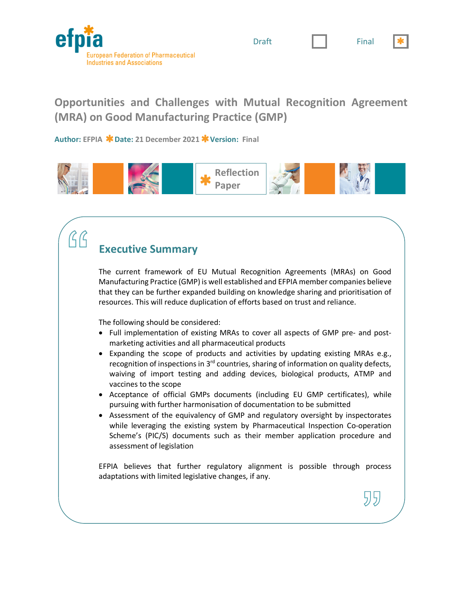

Draft **I I** Final



עע



**Opportunities and Challenges with Mutual Recognition Agreement (MRA) on Good Manufacturing Practice (GMP)**

**Author: EFPIA Date: 21 December 2021 Version: Final**



# **Executive Summary**

RR

The current framework of EU Mutual Recognition Agreements (MRAs) on Good Manufacturing Practice (GMP) is well established and EFPIA member companies believe that they can be further expanded building on knowledge sharing and prioritisation of resources. This will reduce duplication of efforts based on trust and reliance.

The following should be considered:

- Full implementation of existing MRAs to cover all aspects of GMP pre- and postmarketing activities and all pharmaceutical products
- Expanding the scope of products and activities by updating existing MRAs e.g., recognition of inspections in  $3<sup>rd</sup>$  countries, sharing of information on quality defects, waiving of import testing and adding devices, biological products, ATMP and vaccines to the scope
- Acceptance of official GMPs documents (including EU GMP certificates), while pursuing with further harmonisation of documentation to be submitted
- Assessment of the equivalency of GMP and regulatory oversight by inspectorates while leveraging the existing system by Pharmaceutical Inspection Co-operation Scheme's (PIC/S) documents such as their member application procedure and assessment of legislation

EFPIA believes that further regulatory alignment is possible through process adaptations with limited legislative changes, if any.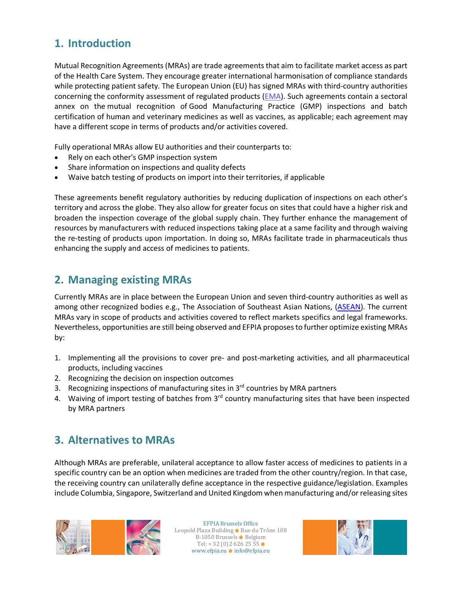## **1. Introduction**

Mutual Recognition Agreements (MRAs) are trade agreements that aim to facilitate market access as part of the Health Care System. They encourage greater international harmonisation of compliance standards while protecting patient safety. The European Union (EU) has signed MRAs with third-country authorities concerning the conformity assessment of regulated products (EMA). Such agreements contain a sectoral annex on the mutual recognition of Good Manufacturing Practice (GMP) inspections and batch certification of human and veterinary medicines as well as vaccines, as applicable; each agreement may have a different scope in terms of products and/or activities covered.

Fully operational MRAs allow EU authorities and their counterparts to:

- Rely on each other's GMP inspection system
- Share information on inspections and quality defects
- Waive batch testing of products on import into their territories, if applicable

These agreements benefit regulatory authorities by reducing duplication of inspections on each other's territory and across the globe. They also allow for greater focus on sites that could have a higher risk and broaden the inspection coverage of the global supply chain. They further enhance the management of resources by manufacturers with reduced inspections taking place at a same facility and through waiving the re-testing of products upon importation. In doing so, MRAs facilitate trade in pharmaceuticals thus enhancing the supply and access of medicines to patients.

#### **2. Managing existing MRAs**

Currently MRAs are in place between the European Union and seven third-country authorities as well as among other recognized bodies e.g., The Association of Southeast Asian Nations, (ASEAN). The current MRAs vary in scope of products and activities covered to reflect markets specifics and legal frameworks. Nevertheless, opportunities are still being observed and EFPIA proposes to further optimize existing MRAs by:

- 1. Implementing all the provisions to cover pre- and post-marketing activities, and all pharmaceutical products, including vaccines
- 2. Recognizing the decision on inspection outcomes
- 3. Recognizing inspections of manufacturing sites in  $3<sup>rd</sup>$  countries by MRA partners
- 4. Waiving of import testing of batches from 3<sup>rd</sup> country manufacturing sites that have been inspected by MRA partners

#### **3. Alternatives to MRAs**

Although MRAs are preferable, unilateral acceptance to allow faster access of medicines to patients in a specific country can be an option when medicines are traded from the other country/region. In that case, the receiving country can unilaterally define acceptance in the respective guidance/legislation. Examples include Columbia, Singapore, Switzerland and United Kingdom when manufacturing and/or releasing sites



EFPIA Brussels Office Leopold Plaza Building \* Rue du Trône 108 B-1050 Brussels \* Belgium Tel:  $+32(0)26262555*$ www.efpia.eu **\*** info@efpia.eu